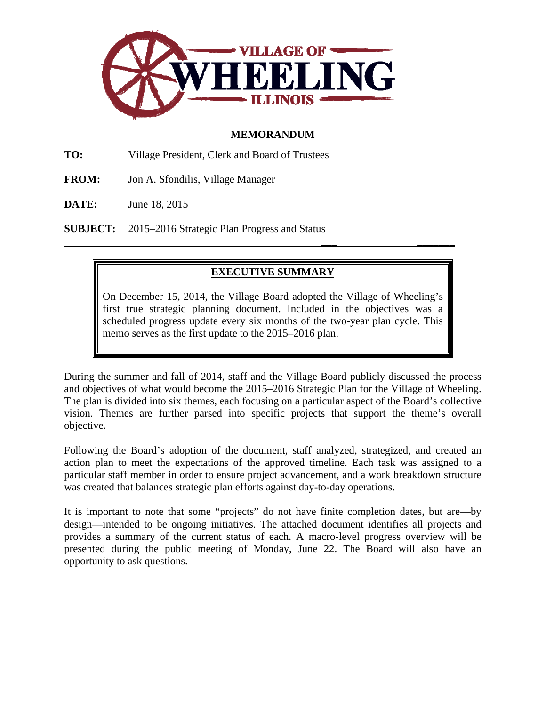

## **MEMORANDUM**

**TO:** Village President, Clerk and Board of Trustees

- **FROM:** Jon A. Sfondilis, Village Manager
- **DATE:** June 18, 2015

**SUBJECT:** 2015–2016 Strategic Plan Progress and Status

# **EXECUTIVE SUMMARY**

 **\_\_\_ \_\_\_\_\_\_\_** 

On December 15, 2014, the Village Board adopted the Village of Wheeling's first true strategic planning document. Included in the objectives was a scheduled progress update every six months of the two-year plan cycle. This memo serves as the first update to the 2015–2016 plan.

During the summer and fall of 2014, staff and the Village Board publicly discussed the process and objectives of what would become the 2015–2016 Strategic Plan for the Village of Wheeling. The plan is divided into six themes, each focusing on a particular aspect of the Board's collective vision. Themes are further parsed into specific projects that support the theme's overall objective.

Following the Board's adoption of the document, staff analyzed, strategized, and created an action plan to meet the expectations of the approved timeline. Each task was assigned to a particular staff member in order to ensure project advancement, and a work breakdown structure was created that balances strategic plan efforts against day-to-day operations.

It is important to note that some "projects" do not have finite completion dates, but are—by design—intended to be ongoing initiatives. The attached document identifies all projects and provides a summary of the current status of each. A macro-level progress overview will be presented during the public meeting of Monday, June 22. The Board will also have an opportunity to ask questions.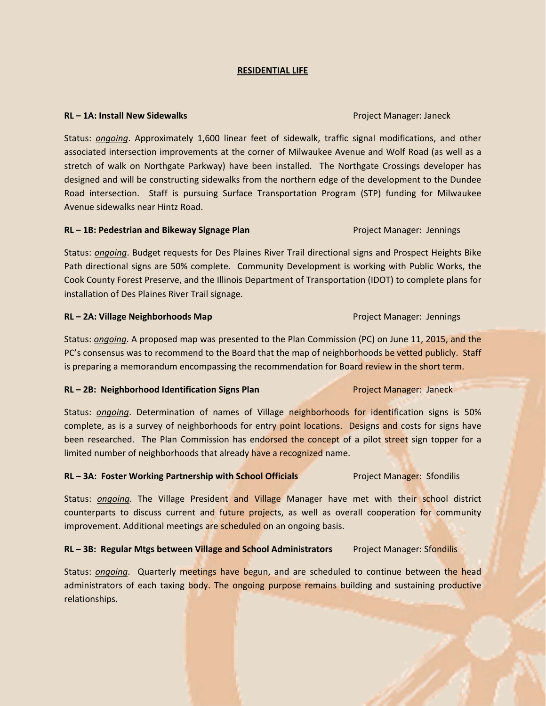#### **RESIDENTIAL LIFE**

#### **RL – 1A: Install New Sidewalks** Project Manager: Janeck

Status: *ongoing*. Approximately 1,600 linear feet of sidewalk, traffic signal modifications, and other associated intersection improvements at the corner of Milwaukee Avenue and Wolf Road (as well as a stretch of walk on Northgate Parkway) have been installed. The Northgate Crossings developer has designed and will be constructing sidewalks from the northern edge of the development to the Dundee Road intersection. Staff is pursuing Surface Transportation Program (STP) funding for Milwaukee Avenue sidewalks near Hintz Road.

#### **RL – 1B: Pedestrian and Bikeway Signage Plan** Project Manager: Jennings

Status: *ongoing*. Budget requests for Des Plaines River Trail directional signs and Prospect Heights Bike Path directional signs are 50% complete. Community Development is working with Public Works, the Cook County Forest Preserve, and the Illinois Department of Transportation (IDOT) to complete plans for installation of Des Plaines River Trail signage.

#### **RL – 2A: Village Neighborhoods Map** Project Manager: Jennings

Status: *ongoing*. A proposed map was presented to the Plan Commission (PC) on June 11, 2015, and the PC's consensus was to recommend to the Board that the map of neighborhoods be vetted publicly. Staff is preparing a memorandum encompassing the recommendation for Board review in the short term.

#### **RL – 2B: Neighborhood Identification Signs Plan** Project Manager: Janeck

Status: *ongoing*. Determination of names of Village neighborhoods for identification signs is 50% complete, as is a survey of neighborhoods for entry point locations. Designs and costs for signs have been researched. The Plan Commission has endorsed the concept of a pilot street sign topper for a limited number of neighborhoods that already have a recognized name.

## **RL – 3A: Foster Working Partnership with School Officials** Project Manager: Sfondilis

Status: *ongoing*. The Village President and Village Manager have met with their school district counterparts to discuss current and future projects, as well as overall cooperation for community improvement. Additional meetings are scheduled on an ongoing basis.

#### **RL – 3B: Regular Mtgs between Village and School Administrators** Project Manager: Sfondilis

Status: *ongoing*. Quarterly meetings have begun, and are scheduled to continue between the head administrators of each taxing body. The ongoing purpose remains building and sustaining productive relationships.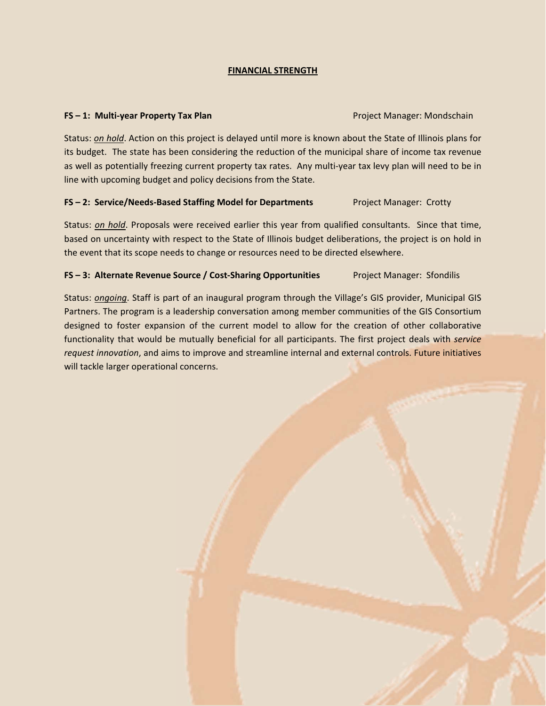## **FINANCIAL STRENGTH**

### **FS** – 1: Multi-year Property Tax Plan **Department Construction Construction** Project Manager: Mondschain

Status: *on hold*. Action on this project is delayed until more is known about the State of Illinois plans for its budget. The state has been considering the reduction of the municipal share of income tax revenue as well as potentially freezing current property tax rates. Any multi-year tax levy plan will need to be in line with upcoming budget and policy decisions from the State.

## **FS – 2: Service/Needs‐Based Staffing Model for Departments** Project Manager: Crotty

Status: *on hold*. Proposals were received earlier this year from qualified consultants. Since that time, based on uncertainty with respect to the State of Illinois budget deliberations, the project is on hold in the event that its scope needs to change or resources need to be directed elsewhere.

## **FS – 3: Alternate Revenue Source / Cost‐Sharing Opportunities** Project Manager: Sfondilis

Status: *ongoing*. Staff is part of an inaugural program through the Village's GIS provider, Municipal GIS Partners. The program is a leadership conversation among member communities of the GIS Consortium designed to foster expansion of the current model to allow for the creation of other collaborative functionality that would be mutually beneficial for all participants. The first project deals with *service request innovation*, and aims to improve and streamline internal and external controls. Future initiatives will tackle larger operational concerns.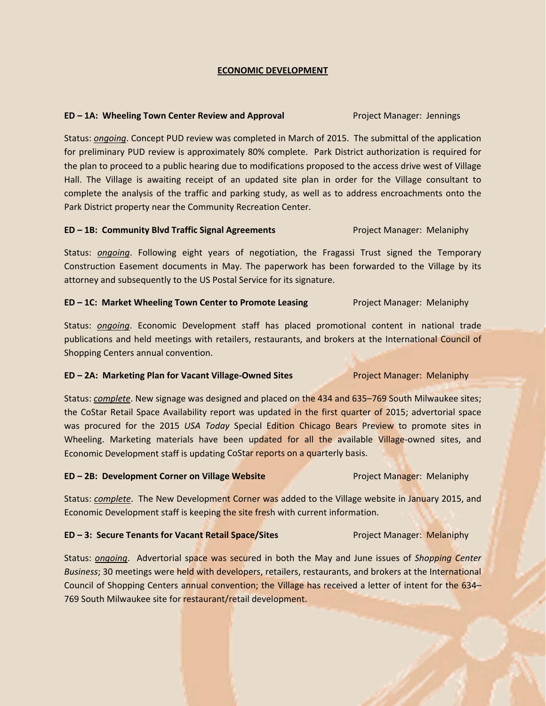### **ECONOMIC DEVELOPMENT**

### **ED – 1A: Wheeling Town Center Review and Approval** Project Manager: Jennings

Status: *ongoing*. Concept PUD review was completed in March of 2015. The submittal of the application for preliminary PUD review is approximately 80% complete. Park District authorization is required for the plan to proceed to a public hearing due to modifications proposed to the access drive west of Village Hall. The Village is awaiting receipt of an updated site plan in order for the Village consultant to complete the analysis of the traffic and parking study, as well as to address encroachments onto the Park District property near the Community Recreation Center.

#### **ED – 1B: Community Blvd Traffic Signal Agreements** Project Manager: Melaniphy

Status: *ongoing*. Following eight years of negotiation, the Fragassi Trust signed the Temporary Construction Easement documents in May. The paperwork has been forwarded to the Village by its attorney and subsequently to the US Postal Service for its signature.

### **ED** – 1C: Market Wheeling Town Center to Promote Leasing *Project Manager: Melaniphy*

Status: *ongoing*. Economic Development staff has placed promotional content in national trade publications and held meetings with retailers, restaurants, and brokers at the International Council of Shopping Centers annual convention.

#### **ED – 2A: Marketing Plan for Vacant Village‐Owned Sites** Project Manager: Melaniphy

Status: *complete*. New signage was designed and placed on the 434 and 635–769 South Milwaukee sites; the CoStar Retail Space Availability report was updated in the first quarter of 2015; advertorial space was procured for the 2015 *USA Today* Special Edition Chicago Bears Preview to promote sites in Wheeling. Marketing materials have been updated for all the available Village-owned sites, and Economic Development staff is updating CoStar reports on a quarterly basis.

#### **ED – 2B: Development Corner on Village Website** Project Manager: Melaniphy

Status: *complete*. The New Development Corner was added to the Village website in January 2015, and Economic Development staff is keeping the site fresh with current information.

## **ED – 3: Secure Tenants for Vacant Retail Space/Sites** Project Manager: Melaniphy

Status: *ongoing*. Advertorial space was secured in both the May and June issues of *Shopping Center Business*; 30 meetings were held with developers, retailers, restaurants, and brokers at the International Council of Shopping Centers annual convention; the Village has received a letter of intent for the 634– 769 South Milwaukee site for restaurant/retail development.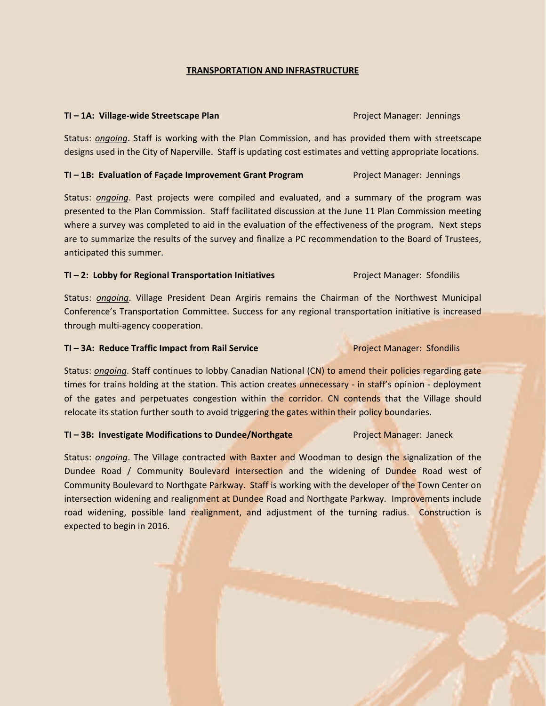## **TRANSPORTATION AND INFRASTRUCTURE**

#### **TI – 1A: Village‐wide Streetscape Plan** Project Manager: Jennings

Status: *ongoing*. Staff is working with the Plan Commission, and has provided them with streetscape designs used in the City of Naperville. Staff is updating cost estimates and vetting appropriate locations.

#### **TI – 1B: Evaluation of Façade Improvement Grant Program** Project Manager: Jennings

Status: *ongoing*. Past projects were compiled and evaluated, and a summary of the program was presented to the Plan Commission. Staff facilitated discussion at the June 11 Plan Commission meeting where a survey was completed to aid in the evaluation of the effectiveness of the program. Next steps are to summarize the results of the survey and finalize a PC recommendation to the Board of Trustees, anticipated this summer.

### **TI – 2: Lobby for Regional Transportation Initiatives** Project Manager: Sfondilis

Status: *ongoing*. Village President Dean Argiris remains the Chairman of the Northwest Municipal Conference's Transportation Committee. Success for any regional transportation initiative is increased through multi‐agency cooperation.

#### **TI – 3A: Reduce Traffic Impact from Rail Service** Project Manager: Sfondilis

Status: *ongoing*. Staff continues to lobby Canadian National (CN) to amend their policies regarding gate times for trains holding at the station. This action creates unnecessary - in staff's opinion - deployment of the gates and perpetuates congestion within the corridor. CN contends that the Village should relocate its station further south to avoid triggering the gates within their policy boundaries.

#### **TI – 3B: Investigate Modifications to Dundee/Northgate** Project Manager: Janeck

Status: *ongoing*. The Village contracted with Baxter and Woodman to design the signalization of the Dundee Road / Community Boulevard intersection and the widening of Dundee Road west of Community Boulevard to Northgate Parkway. Staff is working with the developer of the Town Center on intersection widening and realignment at Dundee Road and Northgate Parkway. Improvements include road widening, possible land realignment, and adjustment of the turning radius. Construction is expected to begin in 2016.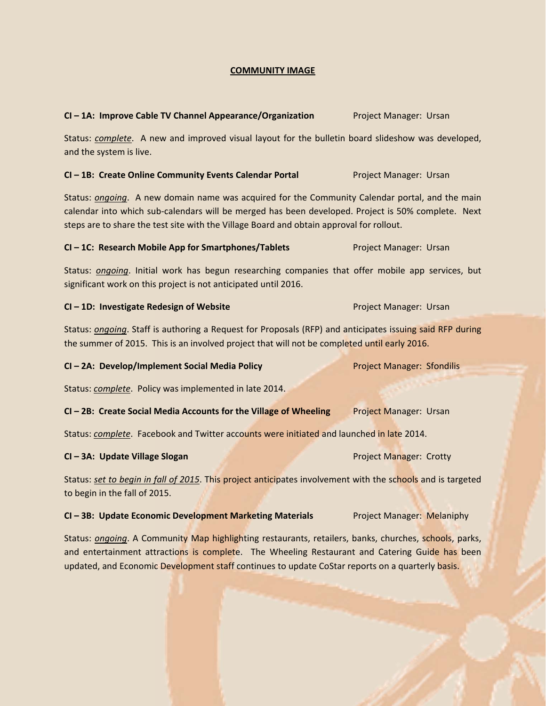## **COMMUNITY IMAGE**

#### **CI – 1A: Improve Cable TV Channel Appearance/Organization** Project Manager: Ursan

Status: *complete*. A new and improved visual layout for the bulletin board slideshow was developed, and the system is live.

## **CI – 1B: Create Online Community Events Calendar Portal** Project Manager: Ursan

Status: *ongoing*. A new domain name was acquired for the Community Calendar portal, and the main calendar into which sub‐calendars will be merged has been developed. Project is 50% complete. Next steps are to share the test site with the Village Board and obtain approval for rollout.

### **CI – 1C: Research Mobile App for Smartphones/Tablets** Project Manager: Ursan

Status: *ongoing*. Initial work has begun researching companies that offer mobile app services, but significant work on this project is not anticipated until 2016.

#### **CI – 1D: Investigate Redesign of Website** Project Manager: Ursan

Status: *ongoing*. Staff is authoring a Request for Proposals (RFP) and anticipates issuing said RFP during the summer of 2015. This is an involved project that will not be completed until early 2016.

#### **CI – 2A: Develop/Implement Social Media Policy** Project Manager: Sfondilis

Status: *complete*. Policy was implemented in late 2014.

#### **CI – 2B: Create Social Media Accounts for the Village of Wheeling** Project Manager: Ursan

Status: *complete*. Facebook and Twitter accounts were initiated and launched in late 2014.

## **CI – 3A: Update Village Slogan** Project Manager: Crotty

Status: *set to begin in fall of 2015*. This project anticipates involvement with the schools and is targeted to begin in the fall of 2015.

#### **CI – 3B: Update Economic Development Marketing Materials** Project Manager: Melaniphy

Status: *ongoing*. A Community Map highlighting restaurants, retailers, banks, churches, schools, parks, and entertainment attractions is complete. The Wheeling Restaurant and Catering Guide has been updated, and Economic Development staff continues to update CoStar reports on a quarterly basis.